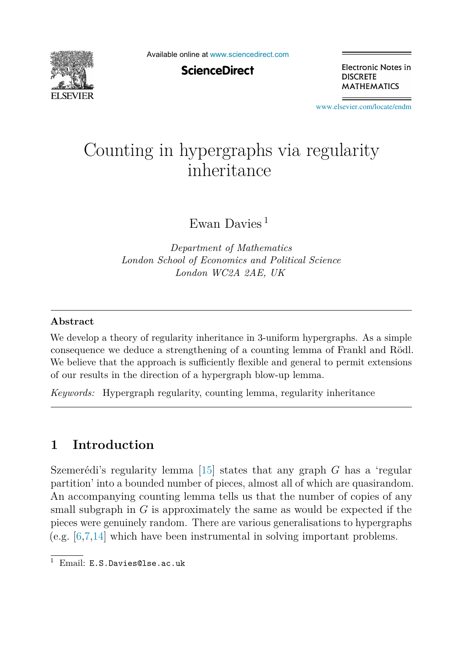

Available online at [www.sciencedirect.com](http://www.sciencedirect.com)

**ScienceDirect** 

Electronic Notes in **DISCRETE MATHEMATICS** 

[www.elsevier.com/locate/endm](http://www.elsevier.com/locate/endm)

# Counting in hypergraphs via regularity

Ewan Davies <sup>1</sup>

*Department of Mathematics London School of Economics and Political Science London WC2A 2AE, UK*

#### **Abstract**

We develop a theory of regularity inheritance in 3-uniform hypergraphs. As a simple consequence we deduce a strengthening of a counting lemma of Frankl and Rödl. We believe that the approach is sufficiently flexible and general to permit extensions of our results in the direction of a hypergraph blow-up lemma.

*Keywords:* Hypergraph regularity, counting lemma, regularity inheritance

## **1 Introduction**

Szemerédi's regularity lemma  $[15]$  states that any graph *G* has a 'regular partition' into a bounded number of pieces, almost all of which are quasirandom. An accompanying counting lemma tells us that the number of copies of any small subgraph in *G* is approximately the same as would be expected if the pieces were genuinely random. There are various generalisations to hypergraphs (e.g. [\[6,7,14\]](#page-4-0) which have been instrumental in solving important problems.

<sup>&</sup>lt;sup>1</sup> Email: E.S.Davies@lse.ac.uk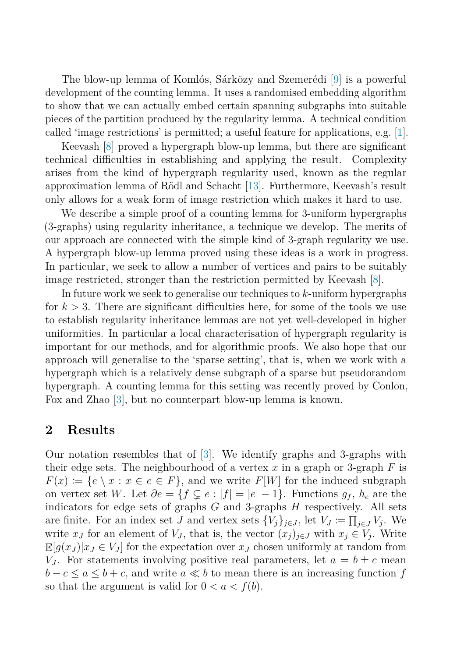The blow-up lemma of Komlós, Sárközy and Szemerédi [\[9\]](#page-4-0) is a powerful development of the counting lemma. It uses a randomised embedding algorithm to show that we can actually embed certain spanning subgraphs into suitable pieces of the partition produced by the regularity lemma. A technical condition called 'image restrictions' is permitted; a useful feature for applications, e.g. [\[1\]](#page-4-0).

Keevash [\[8\]](#page-4-0) proved a hypergraph blow-up lemma, but there are significant technical difficulties in establishing and applying the result. Complexity arises from the kind of hypergraph regularity used, known as the regular approximation lemma of Rödl and Schacht [\[13\]](#page-4-0). Furthermore, Keevash's result only allows for a weak form of image restriction which makes it hard to use.

We describe a simple proof of a counting lemma for 3-uniform hypergraphs (3-graphs) using regularity inheritance, a technique we develop. The merits of our approach are connected with the simple kind of 3-graph regularity we use. A hypergraph blow-up lemma proved using these ideas is a work in progress. In particular, we seek to allow a number of vertices and pairs to be suitably image restricted, stronger than the restriction permitted by Keevash [\[8\]](#page-4-0).

In future work we seek to generalise our techniques to *k*-uniform hypergraphs for  $k > 3$ . There are significant difficulties here, for some of the tools we use to establish regularity inheritance lemmas are not yet well-developed in higher uniformities. In particular a local characterisation of hypergraph regularity is important for our methods, and for algorithmic proofs. We also hope that our approach will generalise to the 'sparse setting', that is, when we work with a hypergraph which is a relatively dense subgraph of a sparse but pseudorandom hypergraph. A counting lemma for this setting was recently proved by Conlon, Fox and Zhao [\[3\]](#page-4-0), but no counterpart blow-up lemma is known.

## **2 Results**

Our notation resembles that of [\[3\]](#page-4-0). We identify graphs and 3-graphs with their edge sets. The neighbourhood of a vertex *x* in a graph or 3-graph *F* is  $F(x) := \{e \setminus x : x \in e \in F\}$ , and we write  $F[W]$  for the induced subgraph on vertex set *W*. Let  $\partial e = \{f \subsetneq e : |f| = |e| - 1\}$ . Functions  $g_f$ ,  $h_e$  are the indicators for edge sets of graphs *G* and 3-graphs *H* respectively. All sets are finite. For an index set *J* and vertex sets  $\{V_j\}_{j\in J}$ , let  $V_J \coloneqq \prod_{j\in J} V_j$ . We write  $x_J$  for an element of  $V_J$ , that is, the vector  $(x_j)_{j\in J}$  with  $x_j \in V_j$ . Write  $\mathbb{E}[g(x_J)|x_J \in V_J]$  for the expectation over  $x_J$  chosen uniformly at random from *V*<sub>*J*</sub>. For statements involving positive real parameters, let  $a = b \pm c$  mean  $b - c \le a \le b + c$ , and write  $a \ll b$  to mean there is an increasing function *f* so that the argument is valid for  $0 < a < f(b)$ .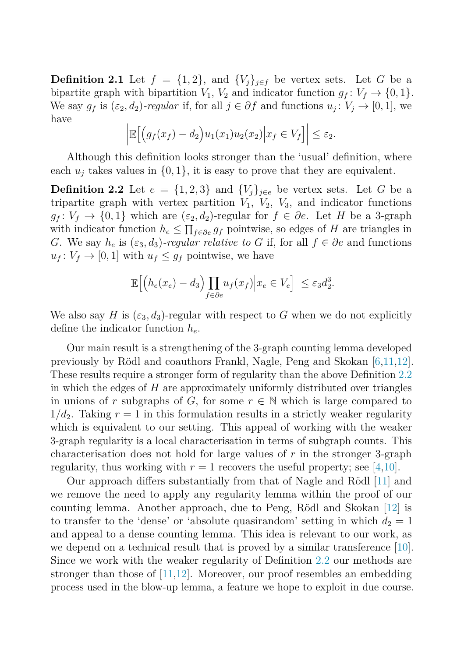<span id="page-2-0"></span>**Definition 2.1** Let  $f = \{1, 2\}$ , and  $\{V_i\}_{i \in f}$  be vertex sets. Let *G* be a bipartite graph with bipartition  $V_1$ ,  $V_2$  and indicator function  $g_f: V_f \to \{0, 1\}.$ We say  $g_f$  is  $(\varepsilon_2, d_2)$ *-regular* if, for all  $j \in \partial f$  and functions  $u_j : V_j \to [0, 1]$ , we have

$$
\left| \mathbb{E} \Big[ \Big( g_f(x_f) - d_2 \Big) u_1(x_1) u_2(x_2) \Big| x_f \in V_f \Big] \right| \leq \varepsilon_2.
$$

Although this definition looks stronger than the 'usual' definition, where each  $u_i$  takes values in  $\{0, 1\}$ , it is easy to prove that they are equivalent.

**Definition 2.2** Let  $e = \{1, 2, 3\}$  and  $\{V_j\}_{j \in e}$  be vertex sets. Let G be a tripartite graph with vertex partition  $V_1$ ,  $V_2$ ,  $V_3$ , and indicator functions  $g_f: V_f \to \{0, 1\}$  which are  $(\varepsilon_2, d_2)$ -regular for  $f \in \partial e$ . Let *H* be a 3-graph with indicator function  $h_e \leq \prod_{f \in \partial e} g_f$  pointwise, so edges of *H* are triangles in *G*. We say  $h_e$  is  $(\varepsilon_3, d_3)$ *-regular relative to G* if, for all  $f \in \partial e$  and functions  $u_f: V_f \to [0, 1]$  with  $u_f \leq g_f$  pointwise, we have

$$
\left| \mathbb{E} \Big[ \Big( h_e(x_e) - d_3 \Big) \prod_{f \in \partial e} u_f(x_f) \Big| x_e \in V_e \Big] \right| \leq \varepsilon_3 d_2^3.
$$

We also say *H* is  $(\varepsilon_3, d_3)$ -regular with respect to *G* when we do not explicitly define the indicator function *he*.

Our main result is a strengthening of the 3-graph counting lemma developed previously by Rödl and coauthors Frankl, Nagle, Peng and Skokan  $[6,11,12]$ . These results require a stronger form of regularity than the above Definition 2.2 in which the edges of *H* are approximately uniformly distributed over triangles in unions of *r* subgraphs of *G*, for some  $r \in \mathbb{N}$  which is large compared to  $1/d_2$ . Taking  $r = 1$  in this formulation results in a strictly weaker regularity which is equivalent to our setting. This appeal of working with the weaker 3-graph regularity is a local characterisation in terms of subgraph counts. This characterisation does not hold for large values of *r* in the stronger 3-graph regularity, thus working with  $r = 1$  recovers the useful property; see [\[4,10\]](#page-4-0).

Our approach differs substantially from that of Nagle and Rödl  $[11]$  and we remove the need to apply any regularity lemma within the proof of our counting lemma. Another approach, due to Peng, Rödl and Skokan [\[12\]](#page-4-0) is to transfer to the 'dense' or 'absolute quasirandom' setting in which  $d_2 = 1$ and appeal to a dense counting lemma. This idea is relevant to our work, as we depend on a technical result that is proved by a similar transference [\[10\]](#page-4-0). Since we work with the weaker regularity of Definition 2.2 our methods are stronger than those of [\[11,12\]](#page-4-0). Moreover, our proof resembles an embedding process used in the blow-up lemma, a feature we hope to exploit in due course.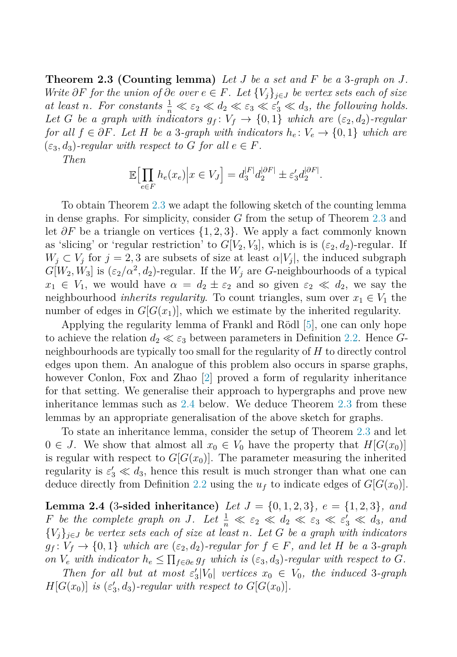**Theorem 2.3 (Counting lemma)** *Let J be a set and F be a* 3*-graph on J. Write*  $\partial F$  *for the union of*  $\partial e$  *over*  $e \in F$ *. Let*  $\{V_i\}_{i \in J}$  *be vertex sets each of size at least n. For constants*  $\frac{1}{n} \ll \varepsilon_2 \ll d_2 \ll \varepsilon_3 \ll \varepsilon'_3 \ll d_3$ , the following holds. *Let G be a graph with indicators*  $g_f: V_f \to \{0, 1\}$  *which are*  $(\epsilon_2, d_2)$ *-regular for all*  $f \in \partial F$ *. Let H be a* 3*-graph with indicators*  $h_e: V_e \to \{0, 1\}$  *which are*  $(\varepsilon_3, d_3)$ -regular with respect to G for all  $e \in F$ .

*Then*

$$
\mathbb{E}\Big[\prod_{e\in F} h_e(x_e)\Big|x\in V_J\Big] = d_3^{|F|}d_2^{\left|\partial F\right|} \pm \varepsilon'_3 d_2^{\left|\partial F\right|}.
$$

To obtain Theorem [2.3](#page-2-0) we adapt the following sketch of the counting lemma in dense graphs. For simplicity, consider *G* from the setup of Theorem [2.3](#page-2-0) and let *∂F* be a triangle on vertices {1*,* 2*,* 3}. We apply a fact commonly known as 'slicing' or 'regular restriction' to  $G[V_2, V_3]$ , which is is  $(\varepsilon_2, d_2)$ -regular. If  $W_i \subset V_i$  for  $j = 2, 3$  are subsets of size at least  $\alpha |V_i|$ , the induced subgraph  $G[W_2, W_3]$  is  $(\varepsilon_2/\alpha^2, d_2)$ -regular. If the  $W_j$  are *G*-neighbourhoods of a typical  $x_1 \in V_1$ , we would have  $\alpha = d_2 \pm \varepsilon_2$  and so given  $\varepsilon_2 \ll d_2$ , we say the neighbourhood *inherits regularity*. To count triangles, sum over  $x_1 \in V_1$  the number of edges in  $G[G(x_1)]$ , which we estimate by the inherited regularity.

Applying the regularity lemma of Frankl and Rödl [\[5\]](#page-4-0), one can only hope to achieve the relation  $d_2 \ll \varepsilon_3$  between parameters in Definition [2.2.](#page-2-0) Hence *G*neighbourhoods are typically too small for the regularity of *H* to directly control edges upon them. An analogue of this problem also occurs in sparse graphs, however Conlon, Fox and Zhao [\[2\]](#page-4-0) proved a form of regularity inheritance for that setting. We generalise their approach to hypergraphs and prove new inheritance lemmas such as 2.4 below. We deduce Theorem [2.3](#page-2-0) from these lemmas by an appropriate generalisation of the above sketch for graphs.

To state an inheritance lemma, consider the setup of Theorem [2.3](#page-2-0) and let  $0 \in J$ . We show that almost all  $x_0 \in V_0$  have the property that  $H[G(x_0)]$ is regular with respect to  $G[G(x_0)]$ . The parameter measuring the inherited regularity is  $\varepsilon'_3 \ll d_3$ , hence this result is much stronger than what one can deduce directly from Definition [2.2](#page-2-0) using the  $u_f$  to indicate edges of  $G|G(x_0)|$ .

**Lemma 2.4** (3-sided inheritance) *Let*  $J = \{0, 1, 2, 3\}$ *, e* =  $\{1, 2, 3\}$ *, and F be the complete graph on J.* Let  $\frac{1}{n} \ll \varepsilon_2 \ll d_2 \ll \varepsilon_3 \ll \varepsilon_3' \ll d_3$ , and  ${V_j}_{j \in J}$  *be vertex sets each of size at least n. Let G be a graph with indicators*  $g_f: V_f \to \{0, 1\}$  *which are*  $(\varepsilon_2, d_2)$ *-regular for*  $f \in F$ *, and let H be a* 3*-graph on*  $V_e$  *with indicator*  $h_e \leq \prod_{f \in \partial e} g_f$  *which is* ( $\varepsilon_3$ *, d*<sub>3</sub>)*-regular with respect to G.* 

*Then for all but at most*  $\varepsilon_3' |V_0|$  *vertices*  $x_0 \in V_0$ *, the induced* 3*-graph*  $H[G(x_0)]$  *is* ( $\varepsilon'_3$ ,  $d_3$ )*-regular with respect to*  $G[G(x_0)]$ *.*